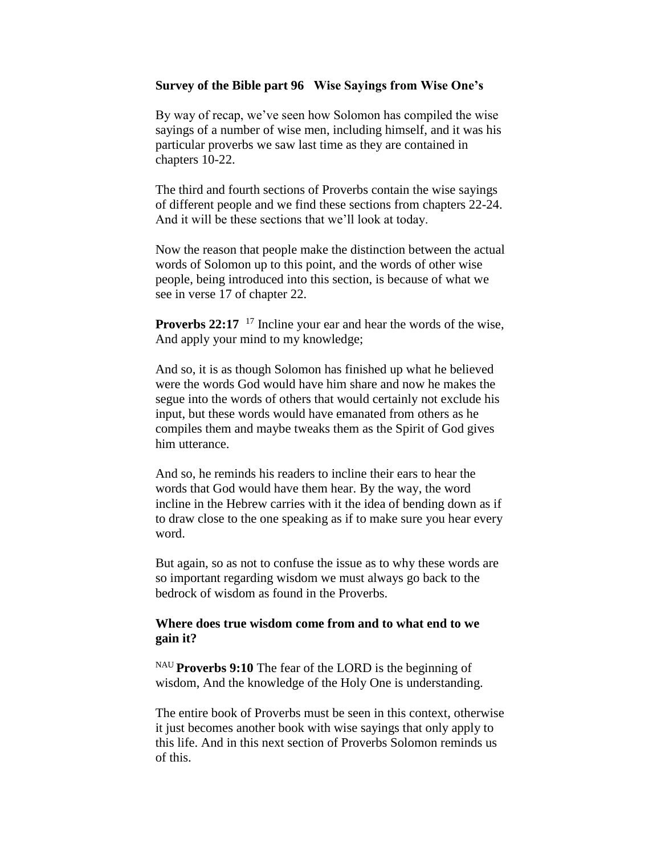## **Survey of the Bible part 96 Wise Sayings from Wise One's**

By way of recap, we've seen how Solomon has compiled the wise sayings of a number of wise men, including himself, and it was his particular proverbs we saw last time as they are contained in chapters 10-22.

The third and fourth sections of Proverbs contain the wise sayings of different people and we find these sections from chapters 22-24. And it will be these sections that we'll look at today.

Now the reason that people make the distinction between the actual words of Solomon up to this point, and the words of other wise people, being introduced into this section, is because of what we see in verse 17 of chapter 22.

**Proverbs 22:17** <sup>17</sup> Incline your ear and hear the words of the wise, And apply your mind to my knowledge;

And so, it is as though Solomon has finished up what he believed were the words God would have him share and now he makes the segue into the words of others that would certainly not exclude his input, but these words would have emanated from others as he compiles them and maybe tweaks them as the Spirit of God gives him utterance.

And so, he reminds his readers to incline their ears to hear the words that God would have them hear. By the way, the word incline in the Hebrew carries with it the idea of bending down as if to draw close to the one speaking as if to make sure you hear every word.

But again, so as not to confuse the issue as to why these words are so important regarding wisdom we must always go back to the bedrock of wisdom as found in the Proverbs.

# **Where does true wisdom come from and to what end to we gain it?**

NAU **Proverbs 9:10** The fear of the LORD is the beginning of wisdom, And the knowledge of the Holy One is understanding.

The entire book of Proverbs must be seen in this context, otherwise it just becomes another book with wise sayings that only apply to this life. And in this next section of Proverbs Solomon reminds us of this.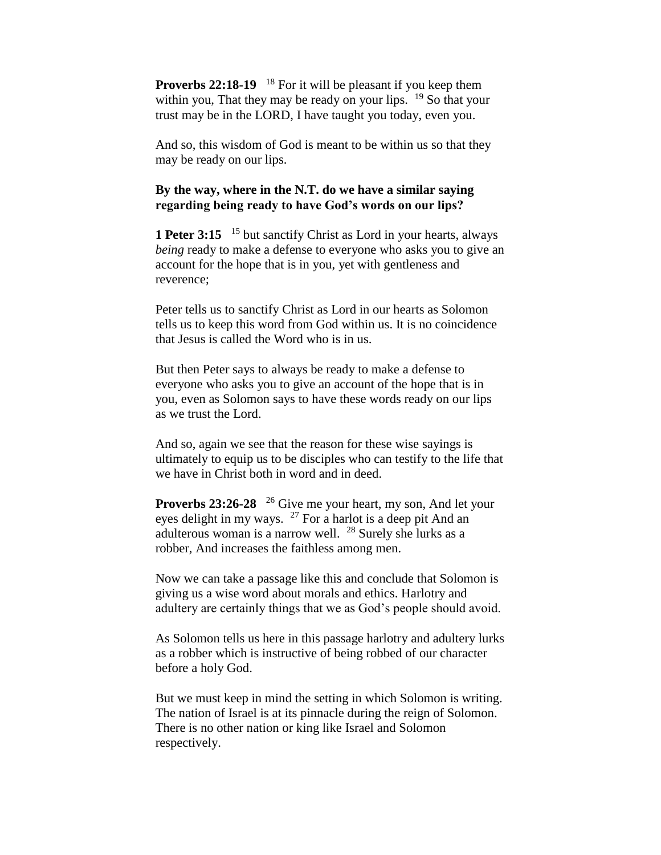**Proverbs 22:18-19** <sup>18</sup> For it will be pleasant if you keep them within you, That they may be ready on your lips.  $19$  So that your trust may be in the LORD, I have taught you today, even you.

And so, this wisdom of God is meant to be within us so that they may be ready on our lips.

# **By the way, where in the N.T. do we have a similar saying regarding being ready to have God's words on our lips?**

**1 Peter 3:15** <sup>15</sup> but sanctify Christ as Lord in your hearts, always *being* ready to make a defense to everyone who asks you to give an account for the hope that is in you, yet with gentleness and reverence;

Peter tells us to sanctify Christ as Lord in our hearts as Solomon tells us to keep this word from God within us. It is no coincidence that Jesus is called the Word who is in us.

But then Peter says to always be ready to make a defense to everyone who asks you to give an account of the hope that is in you, even as Solomon says to have these words ready on our lips as we trust the Lord.

And so, again we see that the reason for these wise sayings is ultimately to equip us to be disciples who can testify to the life that we have in Christ both in word and in deed.

**Proverbs 23:26-28** <sup>26</sup> Give me your heart, my son, And let your eyes delight in my ways.  $27$  For a harlot is a deep pit And an adulterous woman is a narrow well.  $^{28}$  Surely she lurks as a robber, And increases the faithless among men.

Now we can take a passage like this and conclude that Solomon is giving us a wise word about morals and ethics. Harlotry and adultery are certainly things that we as God's people should avoid.

As Solomon tells us here in this passage harlotry and adultery lurks as a robber which is instructive of being robbed of our character before a holy God.

But we must keep in mind the setting in which Solomon is writing. The nation of Israel is at its pinnacle during the reign of Solomon. There is no other nation or king like Israel and Solomon respectively.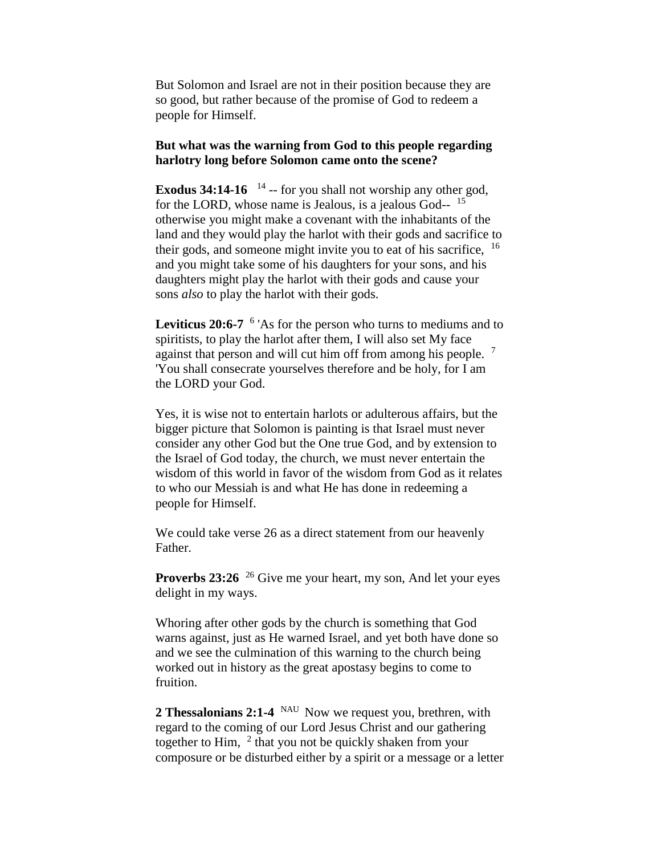But Solomon and Israel are not in their position because they are so good, but rather because of the promise of God to redeem a people for Himself.

### **But what was the warning from God to this people regarding harlotry long before Solomon came onto the scene?**

**Exodus 34:14-16**  $^{14}$  -- for you shall not worship any other god, for the LORD, whose name is Jealous, is a jealous God-- <sup>15</sup> otherwise you might make a covenant with the inhabitants of the land and they would play the harlot with their gods and sacrifice to their gods, and someone might invite you to eat of his sacrifice,  $16$ and you might take some of his daughters for your sons, and his daughters might play the harlot with their gods and cause your sons *also* to play the harlot with their gods.

Leviticus 20:6-7 <sup>6</sup> 'As for the person who turns to mediums and to spiritists, to play the harlot after them, I will also set My face against that person and will cut him off from among his people. <sup>7</sup> 'You shall consecrate yourselves therefore and be holy, for I am the LORD your God.

Yes, it is wise not to entertain harlots or adulterous affairs, but the bigger picture that Solomon is painting is that Israel must never consider any other God but the One true God, and by extension to the Israel of God today, the church, we must never entertain the wisdom of this world in favor of the wisdom from God as it relates to who our Messiah is and what He has done in redeeming a people for Himself.

We could take verse 26 as a direct statement from our heavenly Father.

**Proverbs 23:26** <sup>26</sup> Give me your heart, my son, And let your eyes delight in my ways.

Whoring after other gods by the church is something that God warns against, just as He warned Israel, and yet both have done so and we see the culmination of this warning to the church being worked out in history as the great apostasy begins to come to fruition.

**2 Thessalonians 2:1-4** Now we request you, brethren, with regard to the coming of our Lord Jesus Christ and our gathering together to Him,  $2$  that you not be quickly shaken from your composure or be disturbed either by a spirit or a message or a letter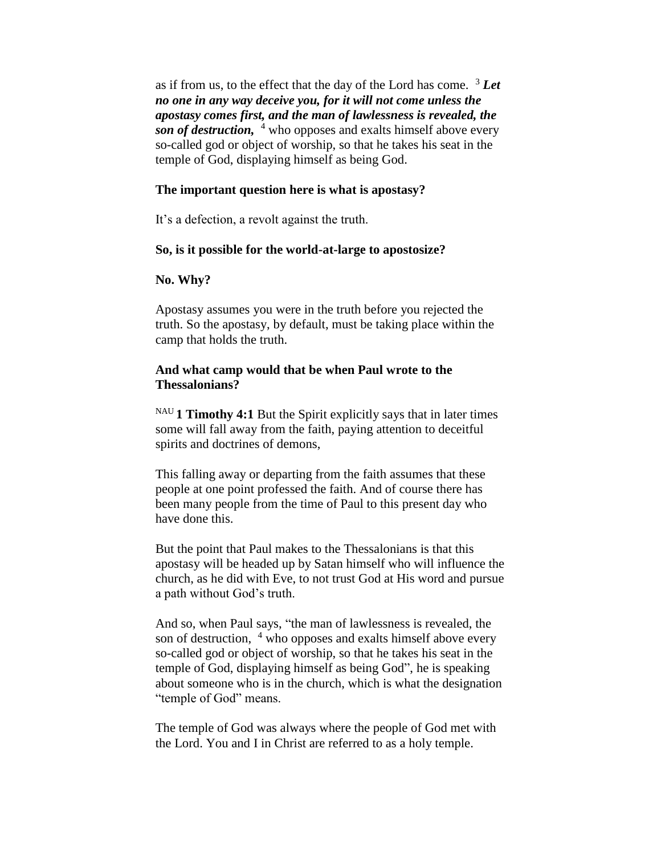as if from us, to the effect that the day of the Lord has come.  $3$  *Let no one in any way deceive you, for it will not come unless the apostasy comes first, and the man of lawlessness is revealed, the son of destruction,* <sup>4</sup> who opposes and exalts himself above every so-called god or object of worship, so that he takes his seat in the temple of God, displaying himself as being God.

## **The important question here is what is apostasy?**

It's a defection, a revolt against the truth.

### **So, is it possible for the world-at-large to apostosize?**

## **No. Why?**

Apostasy assumes you were in the truth before you rejected the truth. So the apostasy, by default, must be taking place within the camp that holds the truth.

# **And what camp would that be when Paul wrote to the Thessalonians?**

NAU **1 Timothy 4:1** But the Spirit explicitly says that in later times some will fall away from the faith, paying attention to deceitful spirits and doctrines of demons,

This falling away or departing from the faith assumes that these people at one point professed the faith. And of course there has been many people from the time of Paul to this present day who have done this.

But the point that Paul makes to the Thessalonians is that this apostasy will be headed up by Satan himself who will influence the church, as he did with Eve, to not trust God at His word and pursue a path without God's truth.

And so, when Paul says, "the man of lawlessness is revealed, the son of destruction, <sup>4</sup> who opposes and exalts himself above every so-called god or object of worship, so that he takes his seat in the temple of God, displaying himself as being God", he is speaking about someone who is in the church, which is what the designation "temple of God" means.

The temple of God was always where the people of God met with the Lord. You and I in Christ are referred to as a holy temple.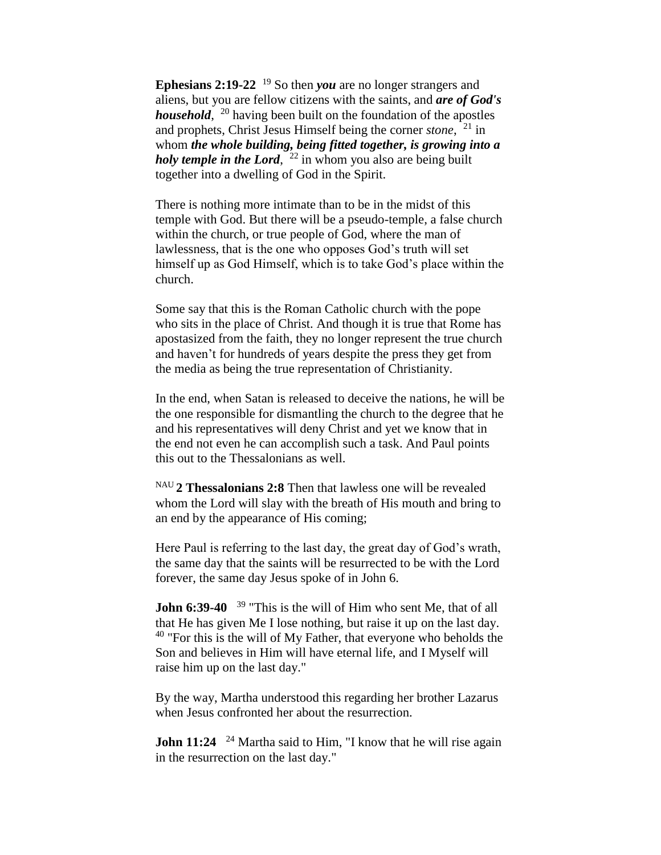**Ephesians 2:19-22** <sup>19</sup> So then *you* are no longer strangers and aliens, but you are fellow citizens with the saints, and *are of God's household*, <sup>20</sup> having been built on the foundation of the apostles and prophets, Christ Jesus Himself being the corner *stone*, <sup>21</sup> in whom *the whole building, being fitted together, is growing into a holy temple in the Lord*, <sup>22</sup> in whom you also are being built together into a dwelling of God in the Spirit.

There is nothing more intimate than to be in the midst of this temple with God. But there will be a pseudo-temple, a false church within the church, or true people of God, where the man of lawlessness, that is the one who opposes God's truth will set himself up as God Himself, which is to take God's place within the church.

Some say that this is the Roman Catholic church with the pope who sits in the place of Christ. And though it is true that Rome has apostasized from the faith, they no longer represent the true church and haven't for hundreds of years despite the press they get from the media as being the true representation of Christianity.

In the end, when Satan is released to deceive the nations, he will be the one responsible for dismantling the church to the degree that he and his representatives will deny Christ and yet we know that in the end not even he can accomplish such a task. And Paul points this out to the Thessalonians as well.

NAU **2 Thessalonians 2:8** Then that lawless one will be revealed whom the Lord will slay with the breath of His mouth and bring to an end by the appearance of His coming;

Here Paul is referring to the last day, the great day of God's wrath, the same day that the saints will be resurrected to be with the Lord forever, the same day Jesus spoke of in John 6.

**John 6:39-40** <sup>39</sup> "This is the will of Him who sent Me, that of all that He has given Me I lose nothing, but raise it up on the last day.  $40$  "For this is the will of My Father, that everyone who beholds the Son and believes in Him will have eternal life, and I Myself will raise him up on the last day."

By the way, Martha understood this regarding her brother Lazarus when Jesus confronted her about the resurrection.

**John 11:24** <sup>24</sup> Martha said to Him, "I know that he will rise again in the resurrection on the last day."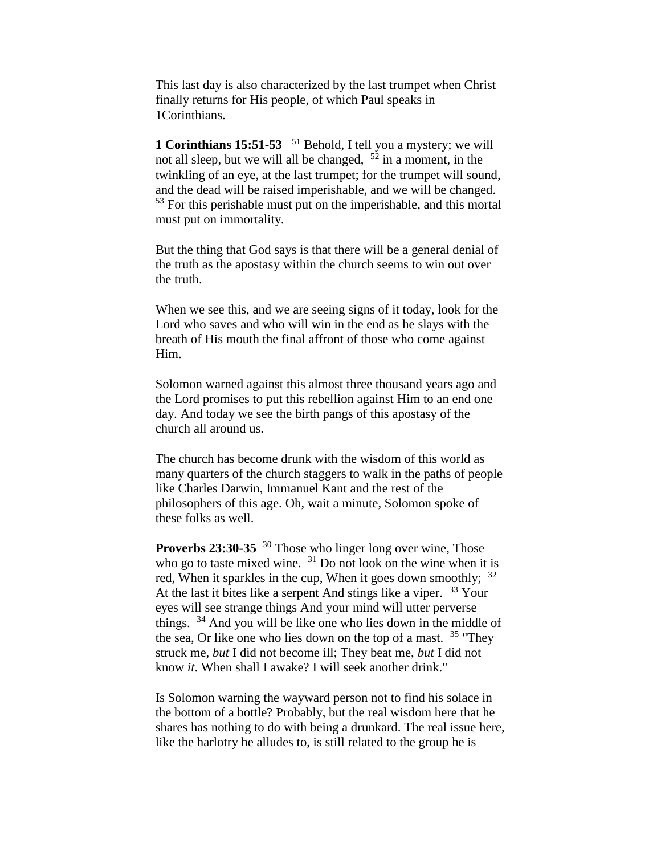This last day is also characterized by the last trumpet when Christ finally returns for His people, of which Paul speaks in 1Corinthians.

**1 Corinthians 15:51-53** <sup>51</sup> Behold, I tell you a mystery; we will not all sleep, but we will all be changed,  $5^2$  in a moment, in the twinkling of an eye, at the last trumpet; for the trumpet will sound, and the dead will be raised imperishable, and we will be changed. <sup>53</sup> For this perishable must put on the imperishable, and this mortal must put on immortality.

But the thing that God says is that there will be a general denial of the truth as the apostasy within the church seems to win out over the truth.

When we see this, and we are seeing signs of it today, look for the Lord who saves and who will win in the end as he slays with the breath of His mouth the final affront of those who come against Him.

Solomon warned against this almost three thousand years ago and the Lord promises to put this rebellion against Him to an end one day. And today we see the birth pangs of this apostasy of the church all around us.

The church has become drunk with the wisdom of this world as many quarters of the church staggers to walk in the paths of people like Charles Darwin, Immanuel Kant and the rest of the philosophers of this age. Oh, wait a minute, Solomon spoke of these folks as well.

**Proverbs 23:30-35** <sup>30</sup> Those who linger long over wine, Those who go to taste mixed wine.  $31$  Do not look on the wine when it is red, When it sparkles in the cup, When it goes down smoothly;  $32$ At the last it bites like a serpent And stings like a viper.  $33$  Your eyes will see strange things And your mind will utter perverse things. <sup>34</sup> And you will be like one who lies down in the middle of the sea, Or like one who lies down on the top of a mast.  $35$  "They" struck me, *but* I did not become ill; They beat me, *but* I did not know *it*. When shall I awake? I will seek another drink."

Is Solomon warning the wayward person not to find his solace in the bottom of a bottle? Probably, but the real wisdom here that he shares has nothing to do with being a drunkard. The real issue here, like the harlotry he alludes to, is still related to the group he is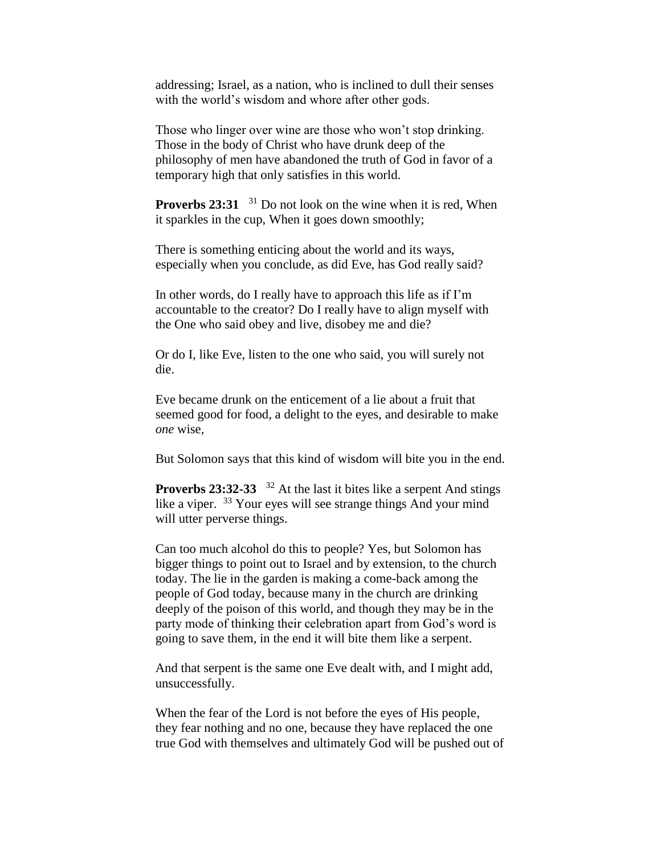addressing; Israel, as a nation, who is inclined to dull their senses with the world's wisdom and whore after other gods.

Those who linger over wine are those who won't stop drinking. Those in the body of Christ who have drunk deep of the philosophy of men have abandoned the truth of God in favor of a temporary high that only satisfies in this world.

**Proverbs 23:31** <sup>31</sup> Do not look on the wine when it is red, When it sparkles in the cup, When it goes down smoothly;

There is something enticing about the world and its ways, especially when you conclude, as did Eve, has God really said?

In other words, do I really have to approach this life as if I'm accountable to the creator? Do I really have to align myself with the One who said obey and live, disobey me and die?

Or do I, like Eve, listen to the one who said, you will surely not die.

Eve became drunk on the enticement of a lie about a fruit that seemed good for food, a delight to the eyes, and desirable to make *one* wise,

But Solomon says that this kind of wisdom will bite you in the end.

**Proverbs 23:32-33** <sup>32</sup> At the last it bites like a serpent And stings like a viper. <sup>33</sup> Your eyes will see strange things And your mind will utter perverse things.

Can too much alcohol do this to people? Yes, but Solomon has bigger things to point out to Israel and by extension, to the church today. The lie in the garden is making a come-back among the people of God today, because many in the church are drinking deeply of the poison of this world, and though they may be in the party mode of thinking their celebration apart from God's word is going to save them, in the end it will bite them like a serpent.

And that serpent is the same one Eve dealt with, and I might add, unsuccessfully.

When the fear of the Lord is not before the eyes of His people, they fear nothing and no one, because they have replaced the one true God with themselves and ultimately God will be pushed out of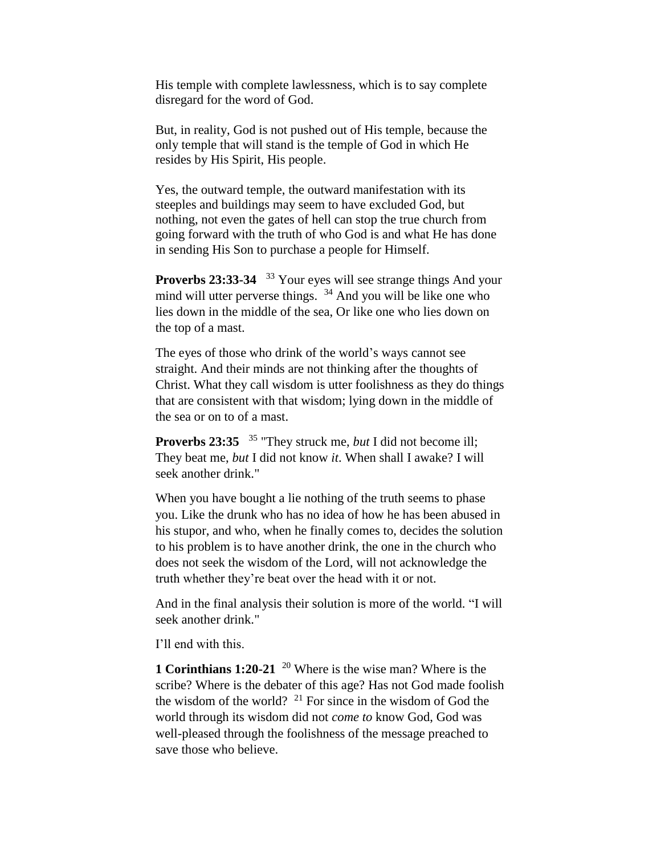His temple with complete lawlessness, which is to say complete disregard for the word of God.

But, in reality, God is not pushed out of His temple, because the only temple that will stand is the temple of God in which He resides by His Spirit, His people.

Yes, the outward temple, the outward manifestation with its steeples and buildings may seem to have excluded God, but nothing, not even the gates of hell can stop the true church from going forward with the truth of who God is and what He has done in sending His Son to purchase a people for Himself.

Proverbs 23:33-34 <sup>33</sup> Your eyes will see strange things And your mind will utter perverse things. <sup>34</sup> And you will be like one who lies down in the middle of the sea, Or like one who lies down on the top of a mast.

The eyes of those who drink of the world's ways cannot see straight. And their minds are not thinking after the thoughts of Christ. What they call wisdom is utter foolishness as they do things that are consistent with that wisdom; lying down in the middle of the sea or on to of a mast.

**Proverbs 23:35**  <sup>35</sup> "They struck me, *but* I did not become ill; They beat me, *but* I did not know *it*. When shall I awake? I will seek another drink."

When you have bought a lie nothing of the truth seems to phase you. Like the drunk who has no idea of how he has been abused in his stupor, and who, when he finally comes to, decides the solution to his problem is to have another drink, the one in the church who does not seek the wisdom of the Lord, will not acknowledge the truth whether they're beat over the head with it or not.

And in the final analysis their solution is more of the world. "I will seek another drink."

I'll end with this.

**1 Corinthians 1:20-21** <sup>20</sup> Where is the wise man? Where is the scribe? Where is the debater of this age? Has not God made foolish the wisdom of the world? <sup>21</sup> For since in the wisdom of God the world through its wisdom did not *come to* know God, God was well-pleased through the foolishness of the message preached to save those who believe.